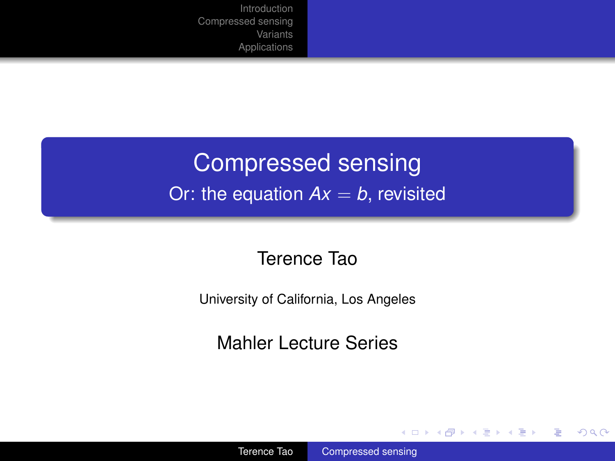### Compressed sensing Or: the equation  $Ax = b$ , revisited

#### Terence Tao

University of California, Los Angeles

Mahler Lecture Series

 $\left\{ \begin{array}{ccc} 1 & 0 & 0 \\ 0 & 1 & 0 \end{array} \right.$ 

÷.

<span id="page-0-0"></span> $2990$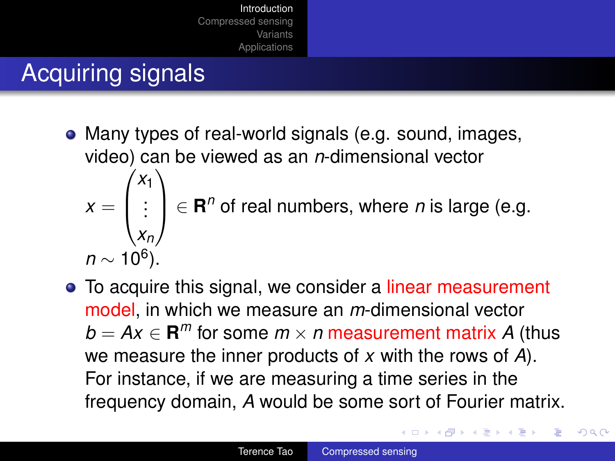# Acquiring signals

- Many types of real-world signals (e.g. sound, images, video) can be viewed as an *n*-dimensional vector  $x =$  $\sqrt{ }$  $\left\lfloor \right\rfloor$ *x*1 . . . *xn*  $\setminus$  $\Big\} \in \mathbf{R}^n$  of real numbers, where *n* is large (e.g. *n* ∼ 10<sup>6</sup>).
- To acquire this signal, we consider a linear measurement model, in which we measure an *m*-dimensional vector  $b = Ax \in \mathbf{R}^m$  for some  $m \times n$  measurement matrix *A* (thus we measure the inner products of *x* with the rows of *A*). For instance, if we are measuring a time series in the frequency domain, *A* would be some sort of Fourier matrix.

イロン イ押ン イヨン イヨン 一重

<span id="page-1-0"></span> $290$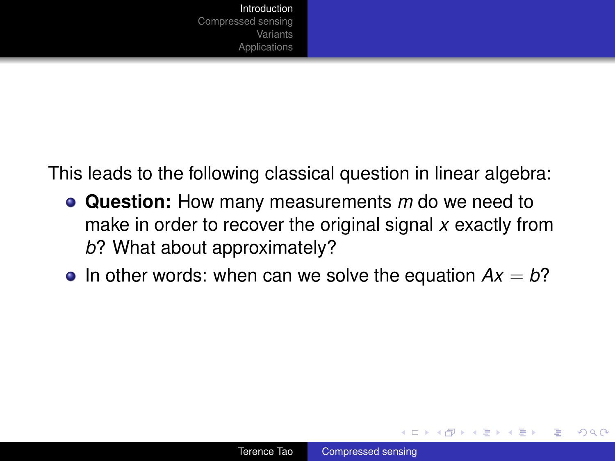This leads to the following classical question in linear algebra:

- **Question:** How many measurements *m* do we need to make in order to recover the original signal *x* exactly from *b*? What about approximately?
- In other words: when can we solve the equation  $Ax = b$ ?

イロメ イ押 メイヨメ イヨメ

ă.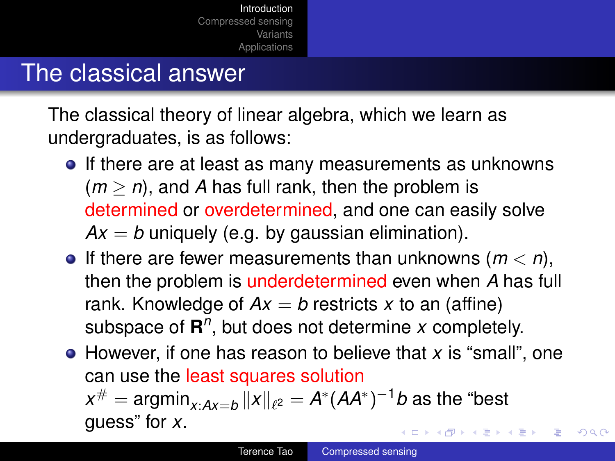#### The classical answer

The classical theory of linear algebra, which we learn as undergraduates, is as follows:

- If there are at least as many measurements as unknowns  $(m > n)$ , and A has full rank, then the problem is determined or overdetermined, and one can easily solve  $Ax = b$  uniquely (e.g. by gaussian elimination).
- $\bullet$  If there are fewer measurements than unknowns ( $m < n$ ), then the problem is underdetermined even when *A* has full rank. Knowledge of  $Ax = b$  restricts x to an (affine) subspace of  $\mathbb{R}^n$ , but does not determine *x* completely.
- However, if one has reason to believe that *x* is "small", one can use the least squares solution  $x^{\#} = \mathsf{argmin}_{x:A\mathsf{x}=b}\left\| \mathsf{x} \right\|_{\ell^2} = A^*(A A^*)^{-1}b$  as the "best guess" for *x*. イロト イ押 トイヨ トイヨ トー B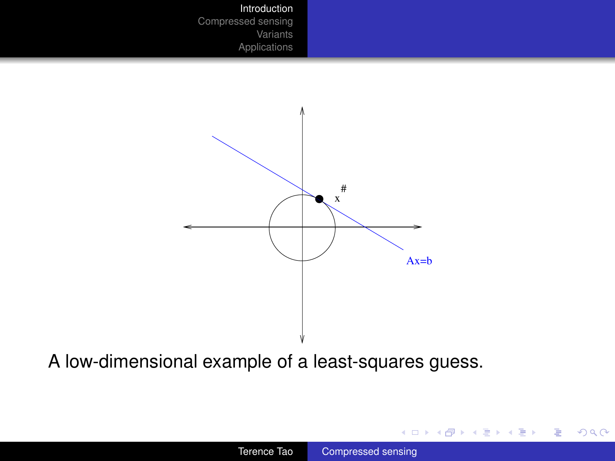

A low-dimensional example of a least-squares guess.

K ロ ▶ K @ ▶ K 할 ▶ K 할 ▶ 이 할 → 9 Q @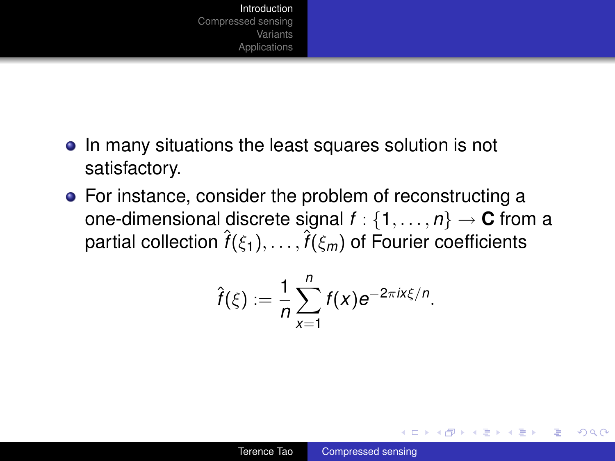- In many situations the least squares solution is not satisfactory.
- For instance, consider the problem of reconstructing a one-dimensional discrete signal  $f : \{1, \ldots, n\} \rightarrow \mathbb{C}$  from a partial collection  $\hat{f}(\xi_1),\ldots,\hat{f}(\xi_m)$  of Fourier coefficients

$$
\hat{f}(\xi) := \frac{1}{n} \sum_{x=1}^n f(x) e^{-2\pi i x \xi/n}.
$$

イロト イ押 トイヨ トイヨ トー

÷.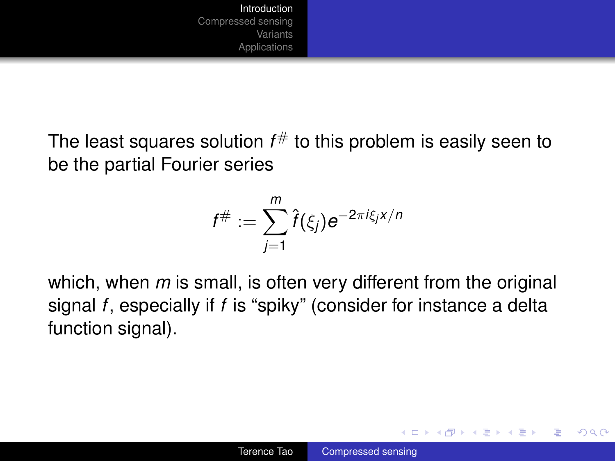The least squares solution *f* # to this problem is easily seen to be the partial Fourier series

$$
f^{\#}:=\sum_{j=1}^m\hat{f}(\xi_j)e^{-2\pi i\xi_jx/n}
$$

which, when *m* is small, is often very different from the original signal *f*, especially if *f* is "spiky" (consider for instance a delta function signal).

イロメ イ押 メイヨメ イヨメ

B

 $QQ$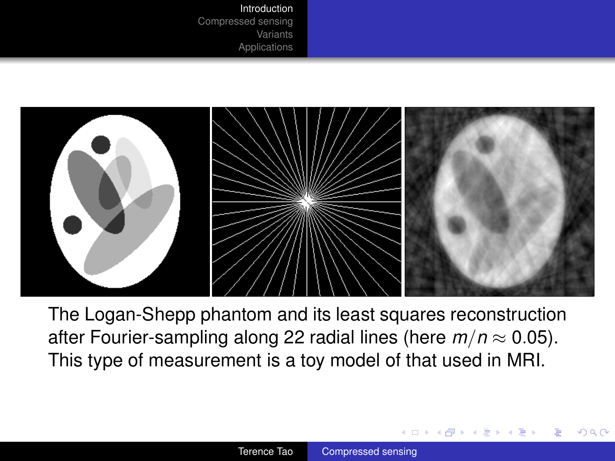

The Logan-Shepp phantom and its least squares reconstruction after Fourier-sampling along 22 radial lines (here  $m/n \approx 0.05$ ). This type of measurement is a toy model of that used in MRI.

**K ロ ⊁ K 伊 ⊁ K ヨ ⊁**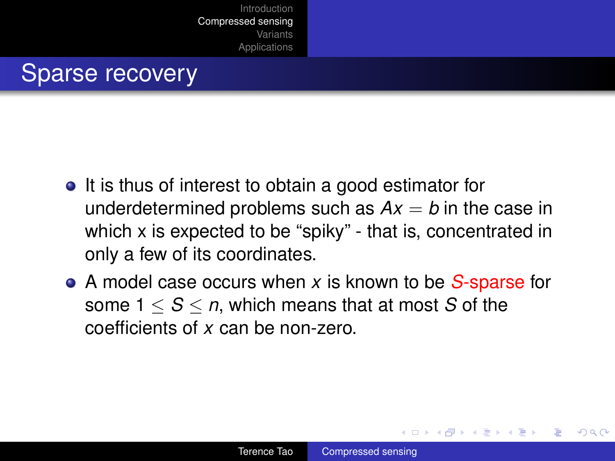#### Sparse recovery

- It is thus of interest to obtain a good estimator for underdetermined problems such as  $Ax = b$  in the case in which x is expected to be "spiky" - that is, concentrated in only a few of its coordinates.
- A model case occurs when *x* is known to be *S*-sparse for some  $1 < S < n$ , which means that at most S of the coefficients of *x* can be non-zero.

<span id="page-8-0"></span>イロメ イ押 メイヨメ イヨメ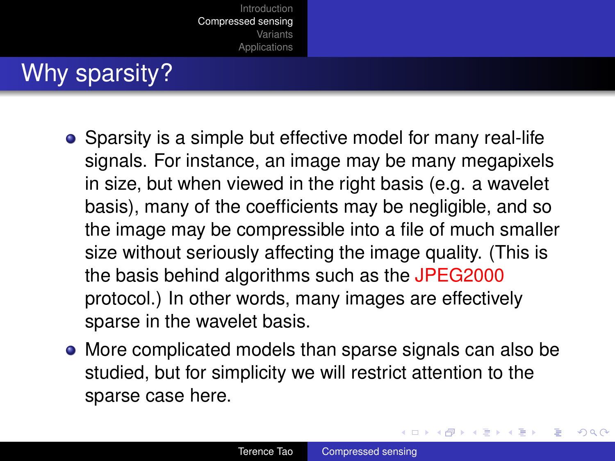## Why sparsity?

- Sparsity is a simple but effective model for many real-life signals. For instance, an image may be many megapixels in size, but when viewed in the right basis (e.g. a wavelet basis), many of the coefficients may be negligible, and so the image may be compressible into a file of much smaller size without seriously affecting the image quality. (This is the basis behind algorithms such as the JPEG2000 protocol.) In other words, many images are effectively sparse in the wavelet basis.
- More complicated models than sparse signals can also be studied, but for simplicity we will restrict attention to the sparse case here.

イロメ イ押 メイヨメ イヨメ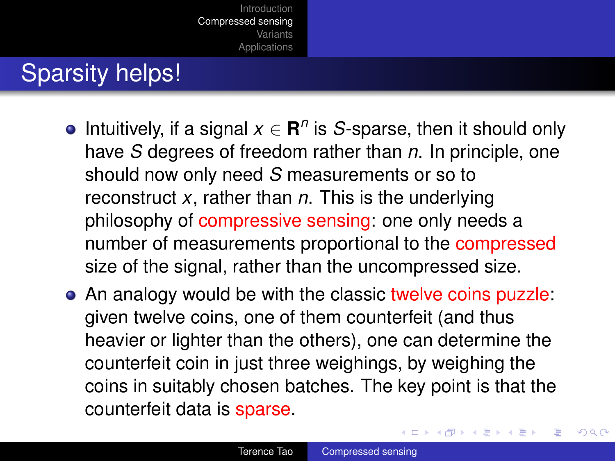## Sparsity helps!

- Intuitively, if a signal  $x \in \mathbb{R}^n$  is *S*-sparse, then it should only have *S* degrees of freedom rather than *n*. In principle, one should now only need *S* measurements or so to reconstruct *x*, rather than *n*. This is the underlying philosophy of compressive sensing: one only needs a number of measurements proportional to the compressed size of the signal, rather than the uncompressed size.
- An analogy would be with the classic twelve coins puzzle: given twelve coins, one of them counterfeit (and thus heavier or lighter than the others), one can determine the counterfeit coin in just three weighings, by weighing the coins in suitably chosen batches. The key point is that the counterfeit data is sparse.

 $2Q$ 

イロメ イ押 メイヨメ イヨメ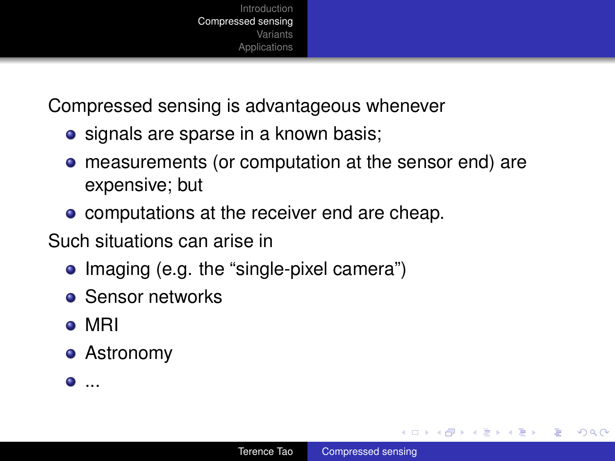

Compressed sensing is advantageous whenever

- signals are sparse in a known basis;
- **•** measurements (or computation at the sensor end) are expensive; but
- computations at the receiver end are cheap.

Such situations can arise in

- Imaging (e.g. the "single-pixel camera")
- **•** Sensor networks
- o MRI
- Astronomy
- $\bullet$  ...

**≮ロ ▶ ⊀ 御 ▶ ⊀ ヨ ▶ ⊀ ヨ ▶** 

÷.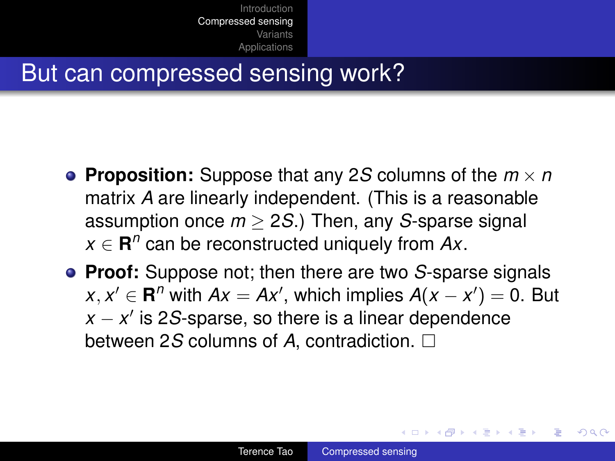#### But can compressed sensing work?

- **Proposition:** Suppose that any 2*S* columns of the *m* × *n* matrix *A* are linearly independent. (This is a reasonable assumption once *m* ≥ 2*S*.) Then, any *S*-sparse signal  $x \in \mathbb{R}^n$  can be reconstructed uniquely from  $Ax$ .
- **Proof:** Suppose not; then there are two *S*-sparse signals *x*, *x*<sup>*'*</sup> ∈ **R**<sup>*n*</sup> with *Ax* = *Ax*<sup>'</sup>, which implies *A*(*x* − *x*<sup>'</sup>) = 0. But  $x - x'$  is 2*S*-sparse, so there is a linear dependence between 2*S* columns of *A*, contradiction.

 $\left\{ \begin{array}{ccc} 1 & 0 & 0 \\ 0 & 1 & 0 \end{array} \right.$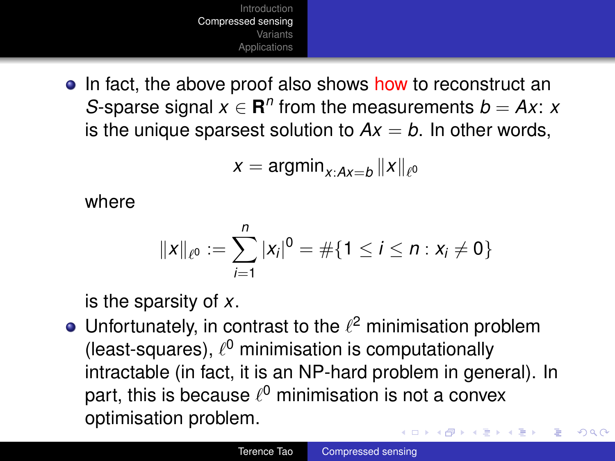

• In fact, the above proof also shows how to reconstruct an *S*-sparse signal  $x \in \mathbb{R}^n$  from the measurements  $b = Ax$ : *x* is the unique sparsest solution to  $Ax = b$ . In other words,

$$
x = \operatorname{argmin}_{x:Ax=b} \|x\|_{\ell^0}
$$

where

$$
||x||_{\ell^0} := \sum_{i=1}^n |x_i|^0 = \#\{1 \leq i \leq n : x_i \neq 0\}
$$

is the sparsity of *x*.

Unfortunately, in contrast to the  $\ell^2$  minimisation problem (least-squares),  $\ell^0$  minimisation is computationally intractable (in fact, it is an NP-hard problem in general). In part, this is because  $\ell^0$  minimisation is not a convex optimisation problem. **K ロ ▶ K 御 ▶ K 君 ▶ K 君 ▶** ÷.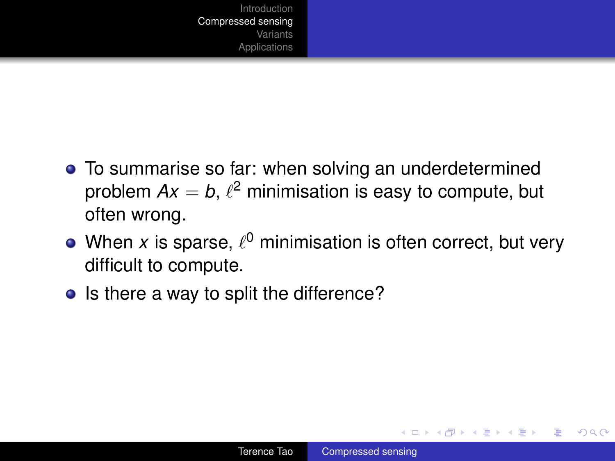

- To summarise so far: when solving an underdetermined problem  $Ax = b$ ,  $\ell^2$  minimisation is easy to compute, but often wrong.
- When  $x$  is sparse,  $\ell^0$  minimisation is often correct, but very difficult to compute.
- Is there a way to split the difference?

 $\left\{ \begin{array}{ccc} 1 & 0 & 0 \\ 0 & 1 & 0 \end{array} \right.$ 

B

 $QQ$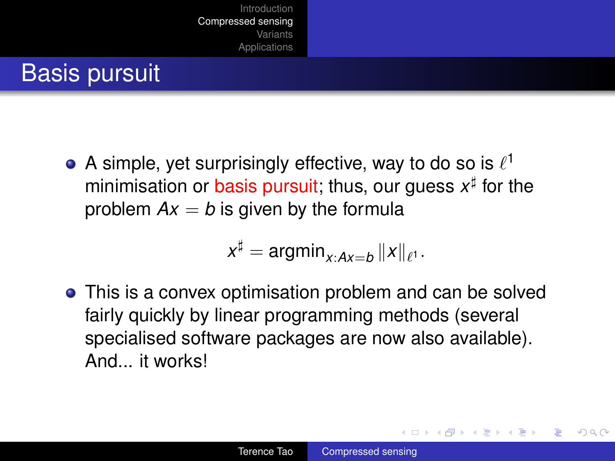## Basis pursuit

A simple, yet surprisingly effective, way to do so is  $\ell^1$ minimisation or basis pursuit; thus, our guess  $x^{\sharp}$  for the problem  $Ax = b$  is given by the formula

$$
x^{\sharp} = \operatorname{argmin}_{x:Ax=b} \|x\|_{\ell^1}.
$$

This is a convex optimisation problem and can be solved fairly quickly by linear programming methods (several specialised software packages are now also available). And it works!

 $\left\{ \begin{array}{ccc} 1 & 0 & 0 \\ 0 & 1 & 0 \end{array} \right.$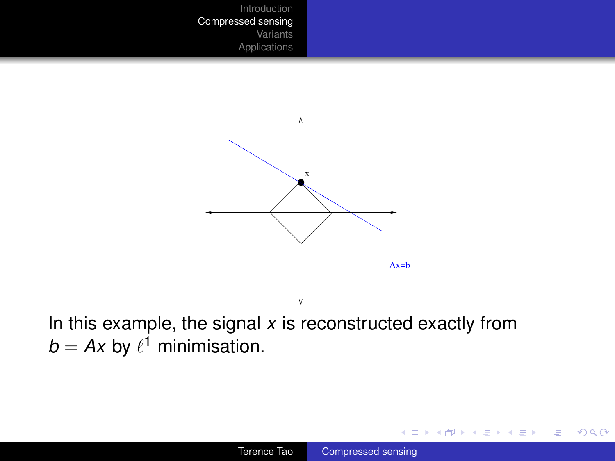

In this example, the signal  $x$  is reconstructed exactly from  $b = Ax$  by  $\ell^1$  minimisation.

イロト イ押 トイヨ トイヨ トー

ă.  $2990$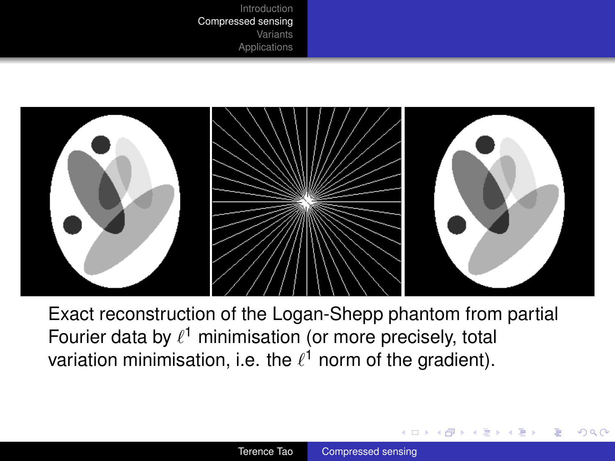

Exact reconstruction of the Logan-Shepp phantom from partial Fourier data by  $\ell^1$  minimisation (or more precisely, total variation minimisation, i.e. the  $\ell^1$  norm of the gradient).

4 0 8

④ ● → ④ 三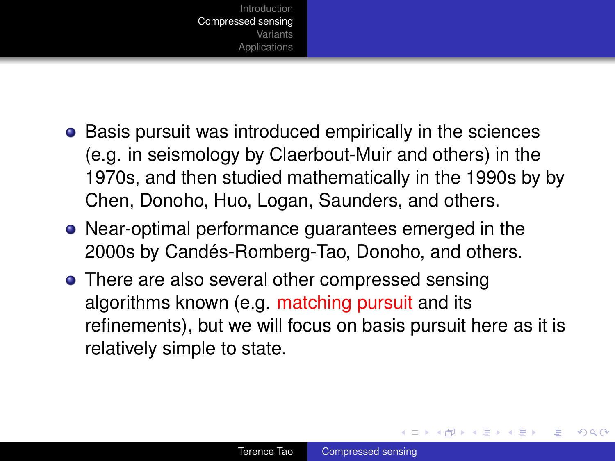

- **•** Basis pursuit was introduced empirically in the sciences (e.g. in seismology by Claerbout-Muir and others) in the 1970s, and then studied mathematically in the 1990s by by Chen, Donoho, Huo, Logan, Saunders, and others.
- Near-optimal performance guarantees emerged in the 2000s by Candés-Romberg-Tao, Donoho, and others.
- There are also several other compressed sensing algorithms known (e.g. matching pursuit and its refinements), but we will focus on basis pursuit here as it is relatively simple to state.

イロメ イ押 メイヨメ イヨメ

B

 $QQ$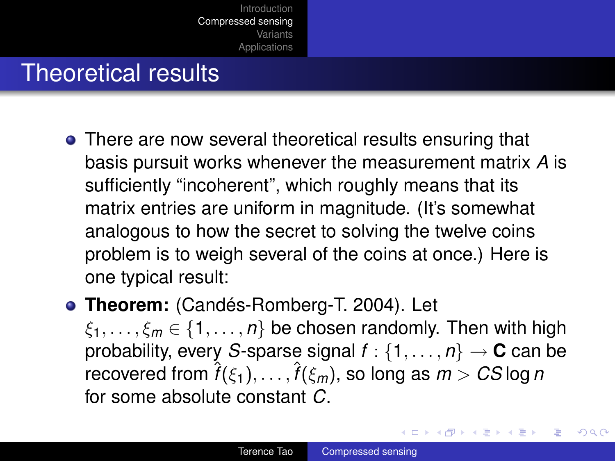### Theoretical results

- There are now several theoretical results ensuring that basis pursuit works whenever the measurement matrix *A* is sufficiently "incoherent", which roughly means that its matrix entries are uniform in magnitude. (It's somewhat analogous to how the secret to solving the twelve coins problem is to weigh several of the coins at once.) Here is one typical result:
- **Theorem:** (Candés-Romberg-T. 2004). Let

 $\xi_1, \ldots, \xi_m \in \{1, \ldots, n\}$  be chosen randomly. Then with high probability, every *S*-sparse signal  $f : \{1, \ldots, n\} \rightarrow \mathbf{C}$  can be  $\hat{f}(\epsilon_1),\dots,\hat{f}(\epsilon_m),$  so long as  $m>C$ Slog *n* for some absolute constant *C*.

イロメ 不優 トイヨメ イヨメー

 $2990$ 

B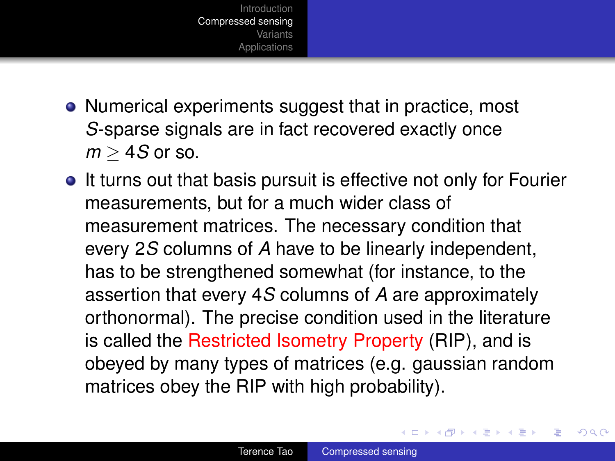

- Numerical experiments suggest that in practice, most *S*-sparse signals are in fact recovered exactly once  $m > 4S$  or so.
- It turns out that basis pursuit is effective not only for Fourier measurements, but for a much wider class of measurement matrices. The necessary condition that every 2*S* columns of *A* have to be linearly independent, has to be strengthened somewhat (for instance, to the assertion that every 4*S* columns of *A* are approximately orthonormal). The precise condition used in the literature is called the Restricted Isometry Property (RIP), and is obeyed by many types of matrices (e.g. gaussian random matrices obey the RIP with high probability).

イロメ イ押 メイヨメ イヨメ

B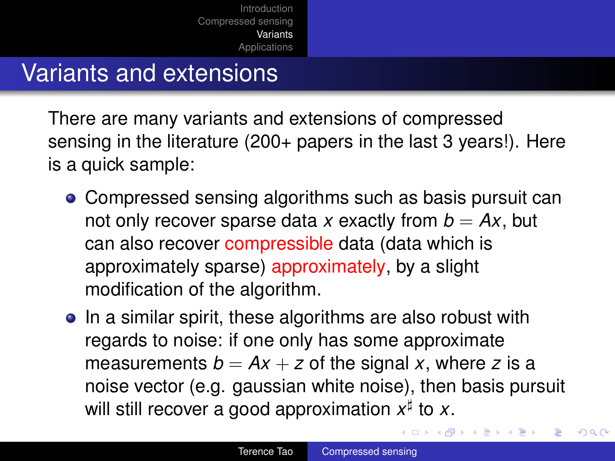#### Variants and extensions

There are many variants and extensions of compressed sensing in the literature (200+ papers in the last 3 years!). Here is a quick sample:

- Compressed sensing algorithms such as basis pursuit can not only recover sparse data x exactly from  $b = Ax$ , but can also recover compressible data (data which is approximately sparse) approximately, by a slight modification of the algorithm.
- In a similar spirit, these algorithms are also robust with regards to noise: if one only has some approximate measurements  $b = Ax + z$  of the signal x, where z is a noise vector (e.g. gaussian white noise), then basis pursuit will still recover a good approximation  $x^{\sharp}$  to x.

<span id="page-21-0"></span> $\left\{ \begin{array}{ccc} 1 & 0 & 0 \\ 0 & 1 & 0 \end{array} \right.$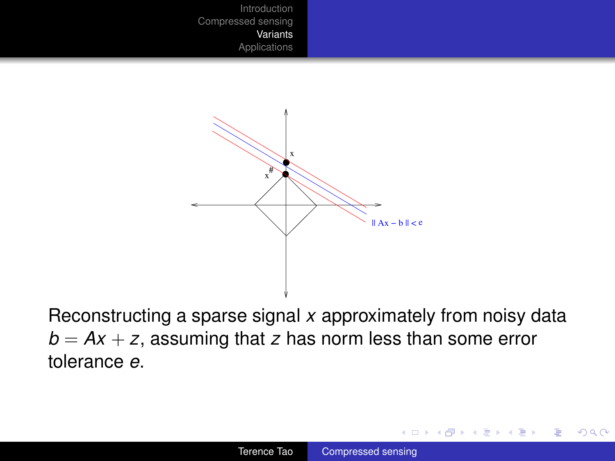

Reconstructing a sparse signal *x* approximately from noisy data  $b = Ax + z$ , assuming that *z* has norm less than some error tolerance *e*.

÷.

イロメ イ押 メイヨメ イヨメ

 $2990$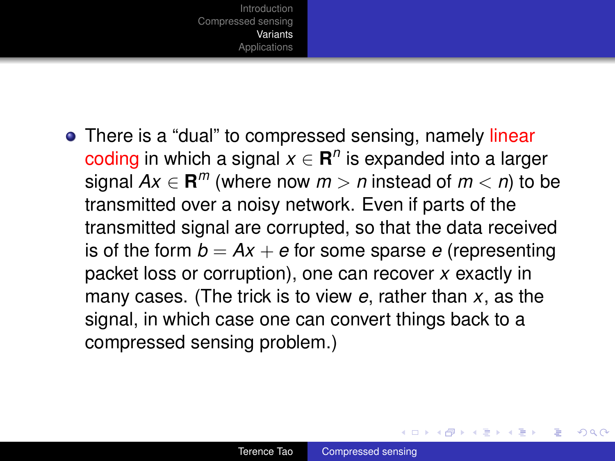

• There is a "dual" to compressed sensing, namely linear coding in which a signal  $x \in \mathbb{R}^n$  is expanded into a larger signal  $Ax \in \mathbf{R}^m$  (where now  $m > n$  instead of  $m < n$ ) to be transmitted over a noisy network. Even if parts of the transmitted signal are corrupted, so that the data received is of the form  $b = Ax + e$  for some sparse *e* (representing packet loss or corruption), one can recover *x* exactly in many cases. (The trick is to view *e*, rather than *x*, as the signal, in which case one can convert things back to a compressed sensing problem.)

 $\left\{ \begin{array}{ccc} 1 & 0 & 0 \\ 0 & 1 & 0 \end{array} \right.$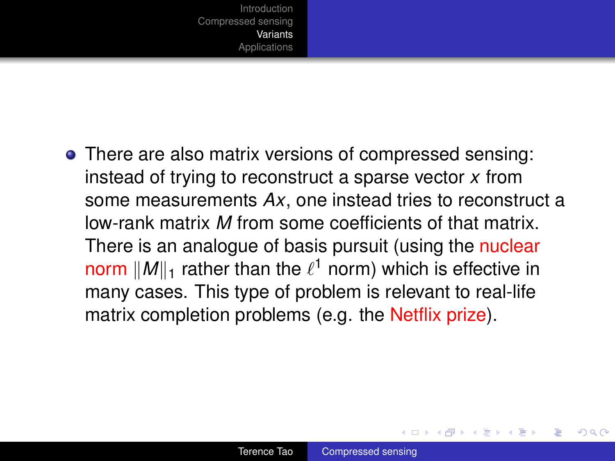• There are also matrix versions of compressed sensing: instead of trying to reconstruct a sparse vector *x* from some measurements *Ax*, one instead tries to reconstruct a low-rank matrix *M* from some coefficients of that matrix. There is an analogue of basis pursuit (using the nuclear norm  $\|M\|_1$  rather than the  $\ell^1$  norm) which is effective in many cases. This type of problem is relevant to real-life matrix completion problems (e.g. the Netflix prize).

イロメ イ押 メイヨメ イヨメ

 $QQ$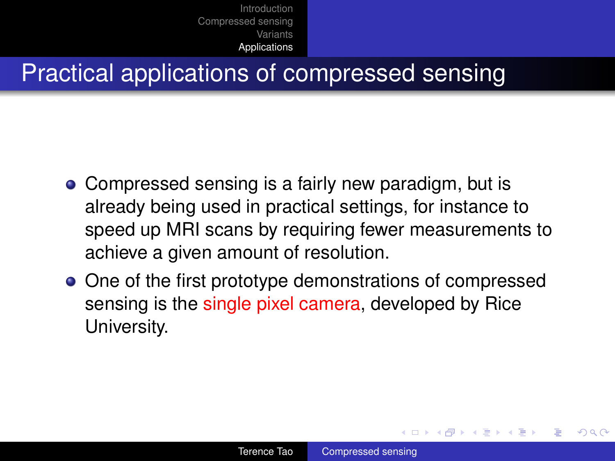#### Practical applications of compressed sensing

- Compressed sensing is a fairly new paradigm, but is already being used in practical settings, for instance to speed up MRI scans by requiring fewer measurements to achieve a given amount of resolution.
- One of the first prototype demonstrations of compressed sensing is the single pixel camera, developed by Rice University.

 $\left\{ \begin{array}{ccc} 1 & 0 & 0 \\ 0 & 1 & 0 \end{array} \right.$ 

<span id="page-25-0"></span> $QQ$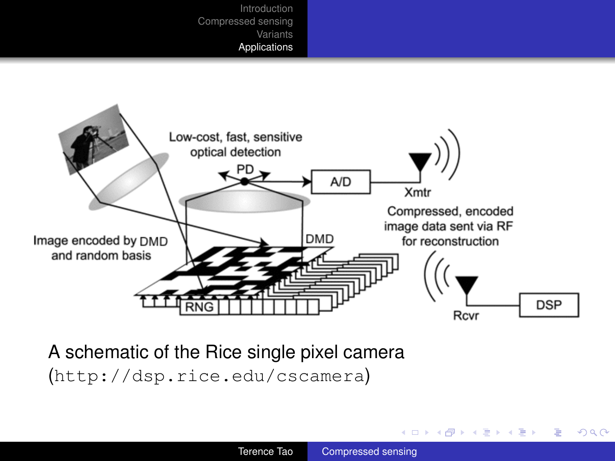

A schematic of the Rice single pixel camera (http://dsp.rice.edu/cscamera)

 $\left\{ \begin{array}{ccc} 1 & 0 & 0 \\ 0 & 1 & 0 \end{array} \right.$ 

 $2990$ 

B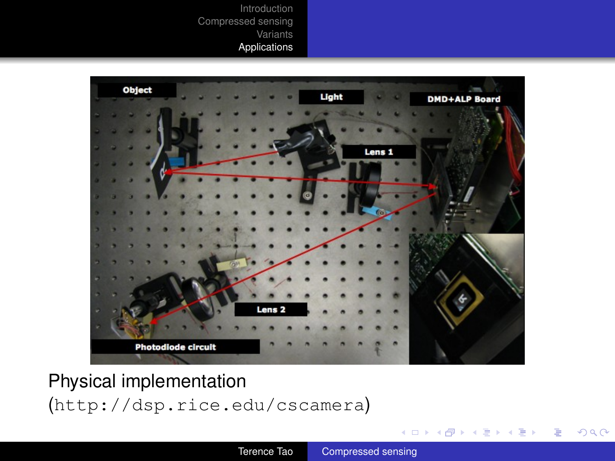

#### Physical implementation (http://dsp.rice.edu/cscamera)

イロト イ押 トイヨ トイヨ トー

÷.

 $299$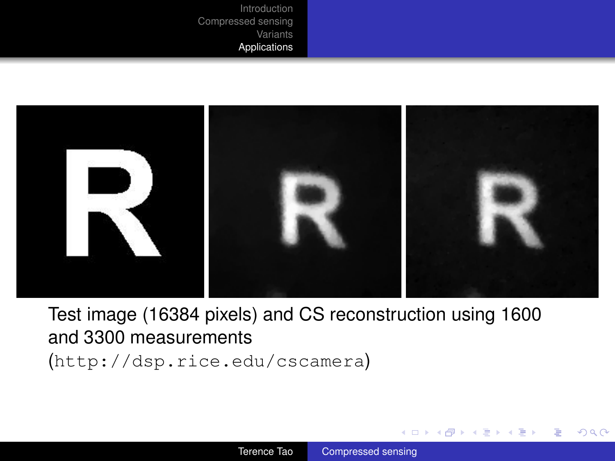

Test image (16384 pixels) and CS reconstruction using 1600 and 3300 measurements (http://dsp.rice.edu/cscamera)

 $\langle \oplus \rangle$  >  $\langle \oplus \rangle$  >  $\langle \oplus \rangle$ 

4 0 8

B

 $QQ$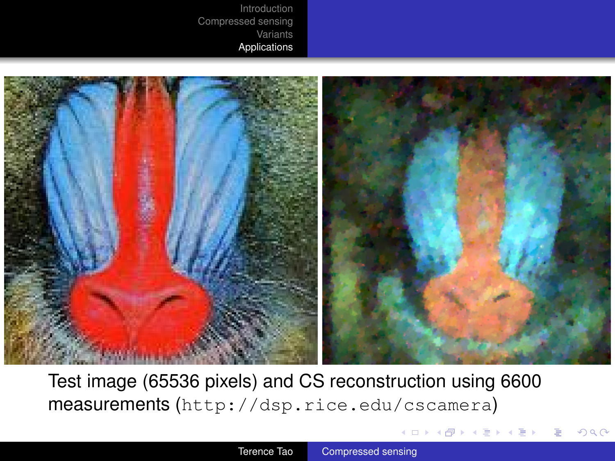

Test image (65536 pixels) and CS reconstruction using 6600 measurements (http://dsp.rice.edu/cscamera)

**K ロ ト K 何 ト K ヨ ト K ヨ ト**